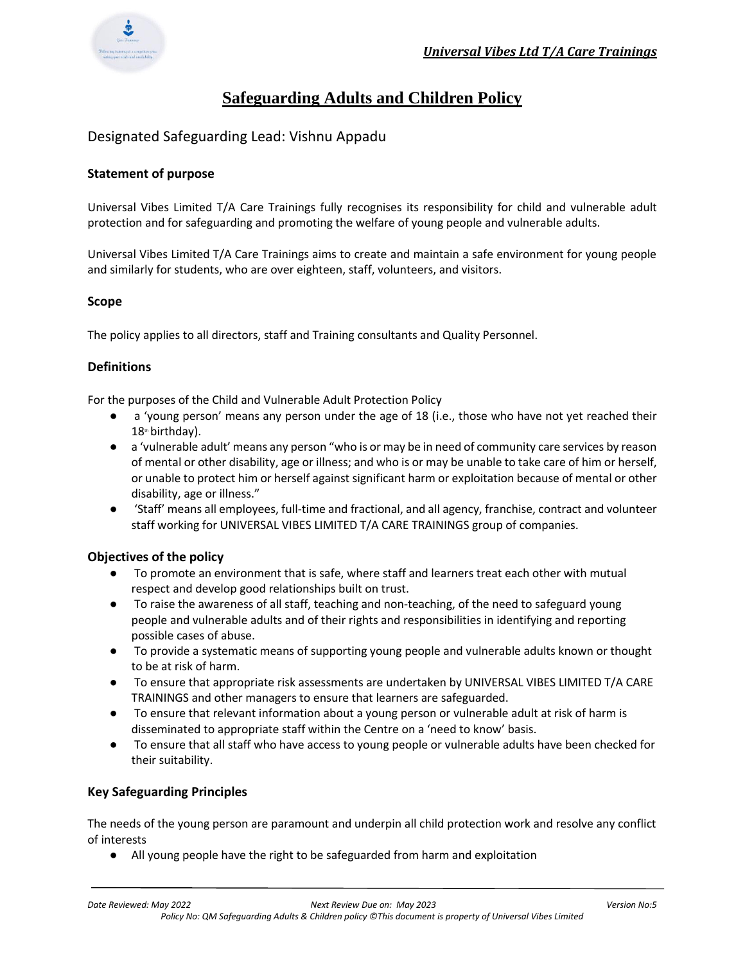

# **Safeguarding Adults and Children Policy**

Designated Safeguarding Lead: Vishnu Appadu

# **Statement of purpose**

Universal Vibes Limited T/A Care Trainings fully recognises its responsibility for child and vulnerable adult protection and for safeguarding and promoting the welfare of young people and vulnerable adults.

Universal Vibes Limited T/A Care Trainings aims to create and maintain a safe environment for young people and similarly for students, who are over eighteen, staff, volunteers, and visitors.

# **Scope**

The policy applies to all directors, staff and Training consultants and Quality Personnel.

# **Definitions**

For the purposes of the Child and Vulnerable Adult Protection Policy

- a 'young person' means any person under the age of 18 (i.e., those who have not yet reached their  $18<sup>th</sup>$  birthday).
- a 'vulnerable adult' means any person "who is or may be in need of community care services by reason of mental or other disability, age or illness; and who is or may be unable to take care of him or herself, or unable to protect him or herself against significant harm or exploitation because of mental or other disability, age or illness."
- 'Staff' means all employees, full-time and fractional, and all agency, franchise, contract and volunteer staff working for UNIVERSAL VIBES LIMITED T/A CARE TRAININGS group of companies.

# **Objectives of the policy**

- To promote an environment that is safe, where staff and learners treat each other with mutual respect and develop good relationships built on trust.
- To raise the awareness of all staff, teaching and non-teaching, of the need to safeguard young people and vulnerable adults and of their rights and responsibilities in identifying and reporting possible cases of abuse.
- To provide a systematic means of supporting young people and vulnerable adults known or thought to be at risk of harm.
- To ensure that appropriate risk assessments are undertaken by UNIVERSAL VIBES LIMITED T/A CARE TRAININGS and other managers to ensure that learners are safeguarded.
- To ensure that relevant information about a young person or vulnerable adult at risk of harm is disseminated to appropriate staff within the Centre on a 'need to know' basis.
- To ensure that all staff who have access to young people or vulnerable adults have been checked for their suitability.

# **Key Safeguarding Principles**

The needs of the young person are paramount and underpin all child protection work and resolve any conflict of interests

● All young people have the right to be safeguarded from harm and exploitation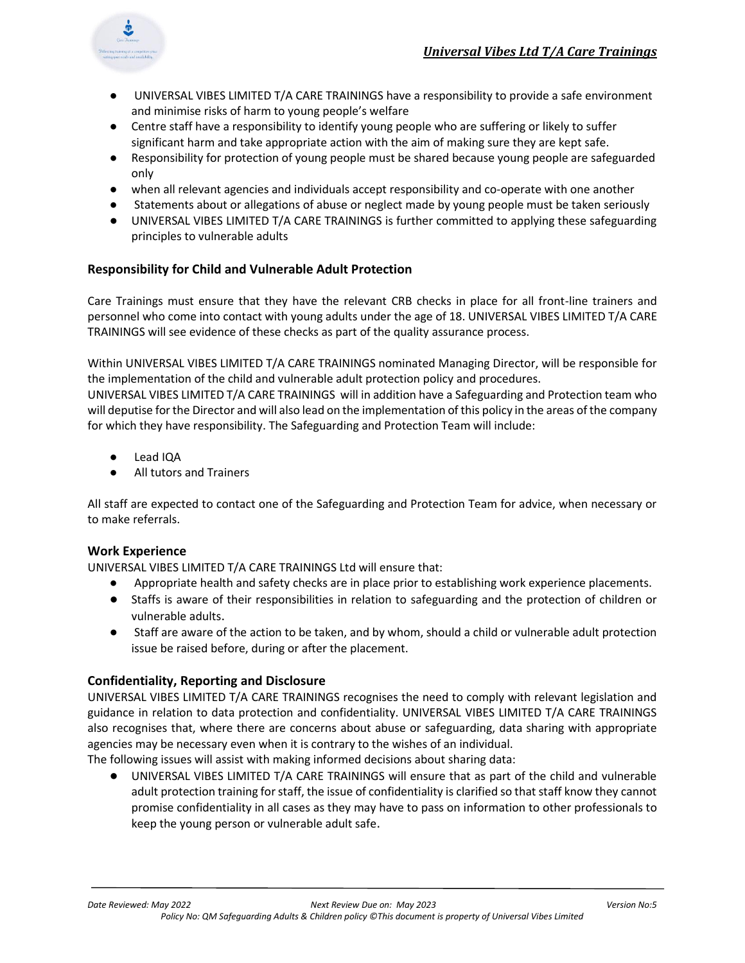

- UNIVERSAL VIBES LIMITED T/A CARE TRAININGS have a responsibility to provide a safe environment and minimise risks of harm to young people's welfare
- Centre staff have a responsibility to identify young people who are suffering or likely to suffer significant harm and take appropriate action with the aim of making sure they are kept safe.
- Responsibility for protection of young people must be shared because young people are safeguarded only
- when all relevant agencies and individuals accept responsibility and co-operate with one another
- Statements about or allegations of abuse or neglect made by young people must be taken seriously
- UNIVERSAL VIBES LIMITED T/A CARE TRAININGS is further committed to applying these safeguarding principles to vulnerable adults

# **Responsibility for Child and Vulnerable Adult Protection**

Care Trainings must ensure that they have the relevant CRB checks in place for all front-line trainers and personnel who come into contact with young adults under the age of 18. UNIVERSAL VIBES LIMITED T/A CARE TRAININGS will see evidence of these checks as part of the quality assurance process.

Within UNIVERSAL VIBES LIMITED T/A CARE TRAININGS nominated Managing Director, will be responsible for the implementation of the child and vulnerable adult protection policy and procedures.

UNIVERSAL VIBES LIMITED T/A CARE TRAININGS will in addition have a Safeguarding and Protection team who will deputise for the Director and will also lead on the implementation of this policy in the areas of the company for which they have responsibility. The Safeguarding and Protection Team will include:

- Lead IQA
- All tutors and Trainers

All staff are expected to contact one of the Safeguarding and Protection Team for advice, when necessary or to make referrals.

# **Work Experience**

UNIVERSAL VIBES LIMITED T/A CARE TRAININGS Ltd will ensure that:

- Appropriate health and safety checks are in place prior to establishing work experience placements.
- Staffs is aware of their responsibilities in relation to safeguarding and the protection of children or vulnerable adults.
- Staff are aware of the action to be taken, and by whom, should a child or vulnerable adult protection issue be raised before, during or after the placement.

# **Confidentiality, Reporting and Disclosure**

UNIVERSAL VIBES LIMITED T/A CARE TRAININGS recognises the need to comply with relevant legislation and guidance in relation to data protection and confidentiality. UNIVERSAL VIBES LIMITED T/A CARE TRAININGS also recognises that, where there are concerns about abuse or safeguarding, data sharing with appropriate agencies may be necessary even when it is contrary to the wishes of an individual.

The following issues will assist with making informed decisions about sharing data:

● UNIVERSAL VIBES LIMITED T/A CARE TRAININGS will ensure that as part of the child and vulnerable adult protection training for staff, the issue of confidentiality is clarified so that staff know they cannot promise confidentiality in all cases as they may have to pass on information to other professionals to keep the young person or vulnerable adult safe.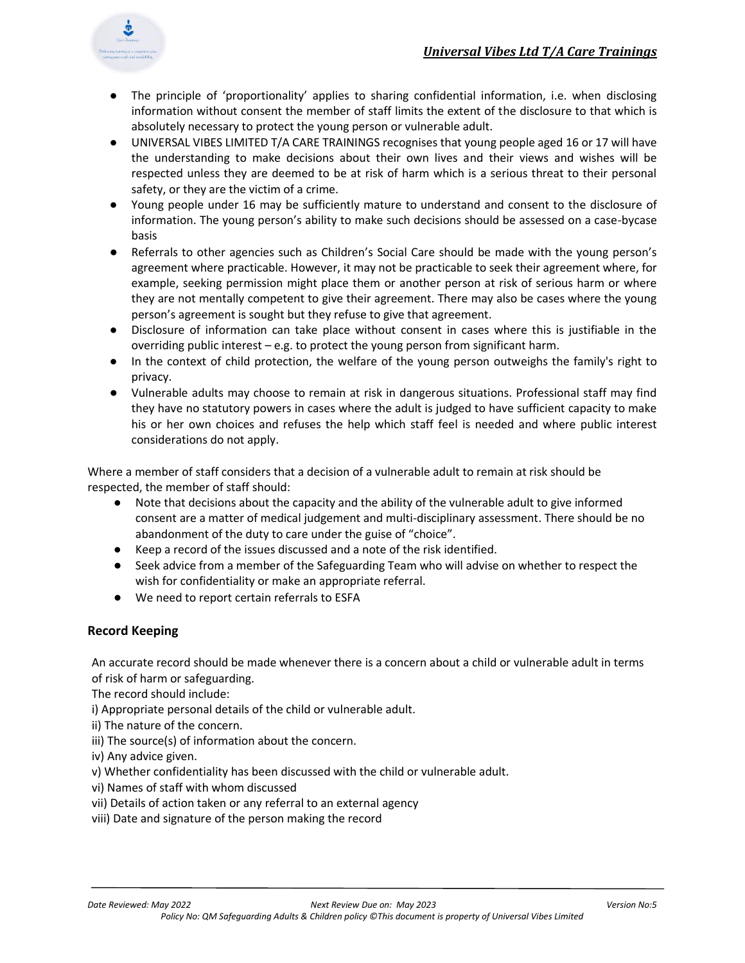

- The principle of 'proportionality' applies to sharing confidential information, i.e. when disclosing information without consent the member of staff limits the extent of the disclosure to that which is absolutely necessary to protect the young person or vulnerable adult.
- UNIVERSAL VIBES LIMITED T/A CARE TRAININGS recognises that young people aged 16 or 17 will have the understanding to make decisions about their own lives and their views and wishes will be respected unless they are deemed to be at risk of harm which is a serious threat to their personal safety, or they are the victim of a crime.
- Young people under 16 may be sufficiently mature to understand and consent to the disclosure of information. The young person's ability to make such decisions should be assessed on a case-bycase basis
- Referrals to other agencies such as Children's Social Care should be made with the young person's agreement where practicable. However, it may not be practicable to seek their agreement where, for example, seeking permission might place them or another person at risk of serious harm or where they are not mentally competent to give their agreement. There may also be cases where the young person's agreement is sought but they refuse to give that agreement.
- Disclosure of information can take place without consent in cases where this is justifiable in the overriding public interest  $-e.g.$  to protect the young person from significant harm.
- In the context of child protection, the welfare of the young person outweighs the family's right to privacy.
- Vulnerable adults may choose to remain at risk in dangerous situations. Professional staff may find they have no statutory powers in cases where the adult is judged to have sufficient capacity to make his or her own choices and refuses the help which staff feel is needed and where public interest considerations do not apply.

Where a member of staff considers that a decision of a vulnerable adult to remain at risk should be respected, the member of staff should:

- Note that decisions about the capacity and the ability of the vulnerable adult to give informed consent are a matter of medical judgement and multi-disciplinary assessment. There should be no abandonment of the duty to care under the guise of "choice".
- Keep a record of the issues discussed and a note of the risk identified.
- Seek advice from a member of the Safeguarding Team who will advise on whether to respect the wish for confidentiality or make an appropriate referral.
- We need to report certain referrals to ESFA

# **Record Keeping**

An accurate record should be made whenever there is a concern about a child or vulnerable adult in terms of risk of harm or safeguarding.

The record should include:

i) Appropriate personal details of the child or vulnerable adult.

- ii) The nature of the concern.
- iii) The source(s) of information about the concern.
- iv) Any advice given.
- v) Whether confidentiality has been discussed with the child or vulnerable adult.
- vi) Names of staff with whom discussed
- vii) Details of action taken or any referral to an external agency
- viii) Date and signature of the person making the record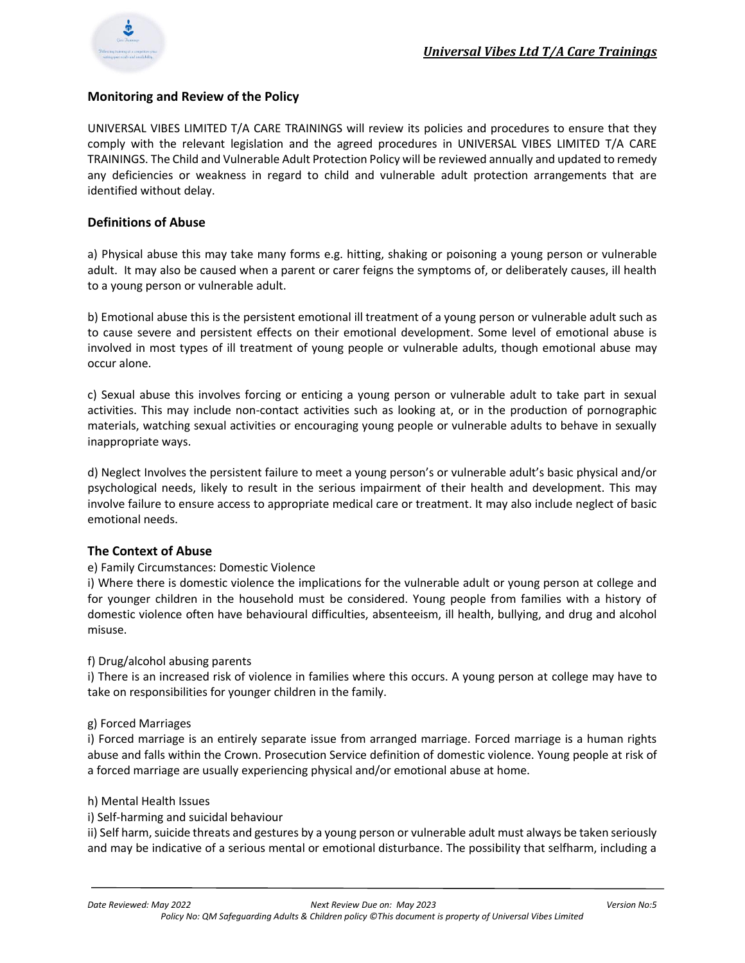

# **Monitoring and Review of the Policy**

UNIVERSAL VIBES LIMITED T/A CARE TRAININGS will review its policies and procedures to ensure that they comply with the relevant legislation and the agreed procedures in UNIVERSAL VIBES LIMITED T/A CARE TRAININGS. The Child and Vulnerable Adult Protection Policy will be reviewed annually and updated to remedy any deficiencies or weakness in regard to child and vulnerable adult protection arrangements that are identified without delay.

# **Definitions of Abuse**

a) Physical abuse this may take many forms e.g. hitting, shaking or poisoning a young person or vulnerable adult. It may also be caused when a parent or carer feigns the symptoms of, or deliberately causes, ill health to a young person or vulnerable adult.

b) Emotional abuse this is the persistent emotional ill treatment of a young person or vulnerable adult such as to cause severe and persistent effects on their emotional development. Some level of emotional abuse is involved in most types of ill treatment of young people or vulnerable adults, though emotional abuse may occur alone.

c) Sexual abuse this involves forcing or enticing a young person or vulnerable adult to take part in sexual activities. This may include non-contact activities such as looking at, or in the production of pornographic materials, watching sexual activities or encouraging young people or vulnerable adults to behave in sexually inappropriate ways.

d) Neglect Involves the persistent failure to meet a young person's or vulnerable adult's basic physical and/or psychological needs, likely to result in the serious impairment of their health and development. This may involve failure to ensure access to appropriate medical care or treatment. It may also include neglect of basic emotional needs.

# **The Context of Abuse**

# e) Family Circumstances: Domestic Violence

i) Where there is domestic violence the implications for the vulnerable adult or young person at college and for younger children in the household must be considered. Young people from families with a history of domestic violence often have behavioural difficulties, absenteeism, ill health, bullying, and drug and alcohol misuse.

#### f) Drug/alcohol abusing parents

i) There is an increased risk of violence in families where this occurs. A young person at college may have to take on responsibilities for younger children in the family.

#### g) Forced Marriages

i) Forced marriage is an entirely separate issue from arranged marriage. Forced marriage is a human rights abuse and falls within the Crown. Prosecution Service definition of domestic violence. Young people at risk of a forced marriage are usually experiencing physical and/or emotional abuse at home.

#### h) Mental Health Issues

#### i) Self-harming and suicidal behaviour

ii) Self harm, suicide threats and gestures by a young person or vulnerable adult must always be taken seriously and may be indicative of a serious mental or emotional disturbance. The possibility that selfharm, including a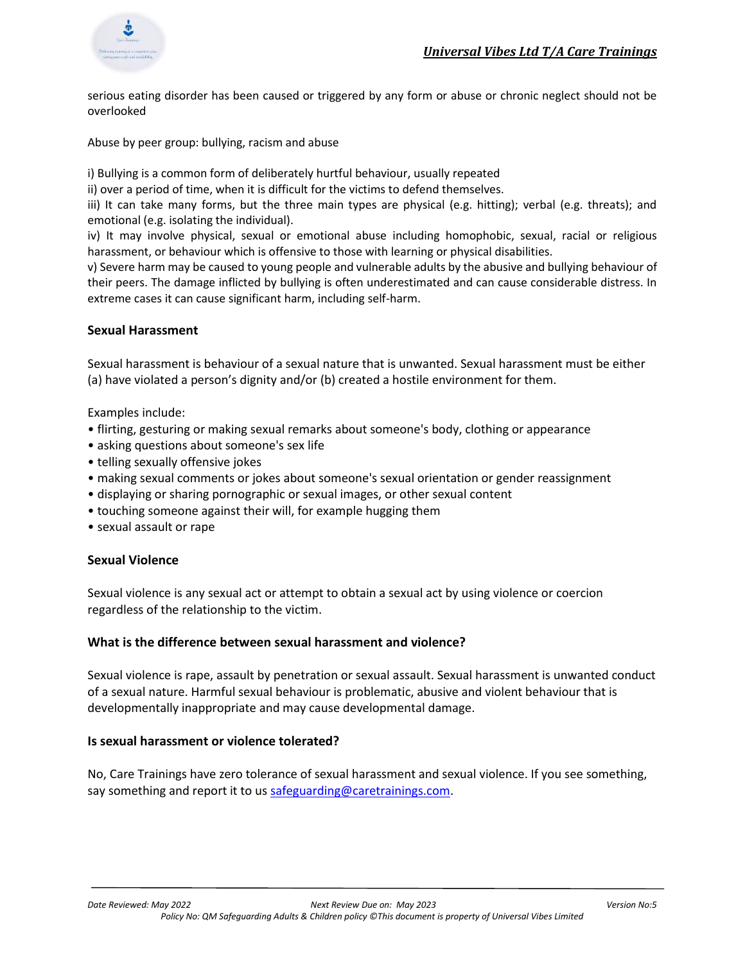

serious eating disorder has been caused or triggered by any form or abuse or chronic neglect should not be overlooked

Abuse by peer group: bullying, racism and abuse

i) Bullying is a common form of deliberately hurtful behaviour, usually repeated

ii) over a period of time, when it is difficult for the victims to defend themselves.

iii) It can take many forms, but the three main types are physical (e.g. hitting); verbal (e.g. threats); and emotional (e.g. isolating the individual).

iv) It may involve physical, sexual or emotional abuse including homophobic, sexual, racial or religious harassment, or behaviour which is offensive to those with learning or physical disabilities.

v) Severe harm may be caused to young people and vulnerable adults by the abusive and bullying behaviour of their peers. The damage inflicted by bullying is often underestimated and can cause considerable distress. In extreme cases it can cause significant harm, including self-harm.

# **Sexual Harassment**

Sexual harassment is behaviour of a sexual nature that is unwanted. Sexual harassment must be either (a) have violated a person's dignity and/or (b) created a hostile environment for them.

Examples include:

- flirting, gesturing or making sexual remarks about someone's body, clothing or appearance
- asking questions about someone's sex life
- telling sexually offensive jokes
- making sexual comments or jokes about someone's sexual orientation or gender reassignment
- displaying or sharing pornographic or sexual images, or other sexual content
- touching someone against their will, for example hugging them
- sexual assault or rape

# **Sexual Violence**

Sexual violence is any sexual act or attempt to obtain a sexual act by using violence or coercion regardless of the relationship to the victim.

# **What is the difference between sexual harassment and violence?**

Sexual violence is rape, assault by penetration or sexual assault. Sexual harassment is unwanted conduct of a sexual nature. Harmful sexual behaviour is problematic, abusive and violent behaviour that is developmentally inappropriate and may cause developmental damage.

# **Is sexual harassment or violence tolerated?**

No, Care Trainings have zero tolerance of sexual harassment and sexual violence. If you see something, say something and report it to us [safeguarding@caretrainings.com.](mailto:safeguarding@caretrainings.com)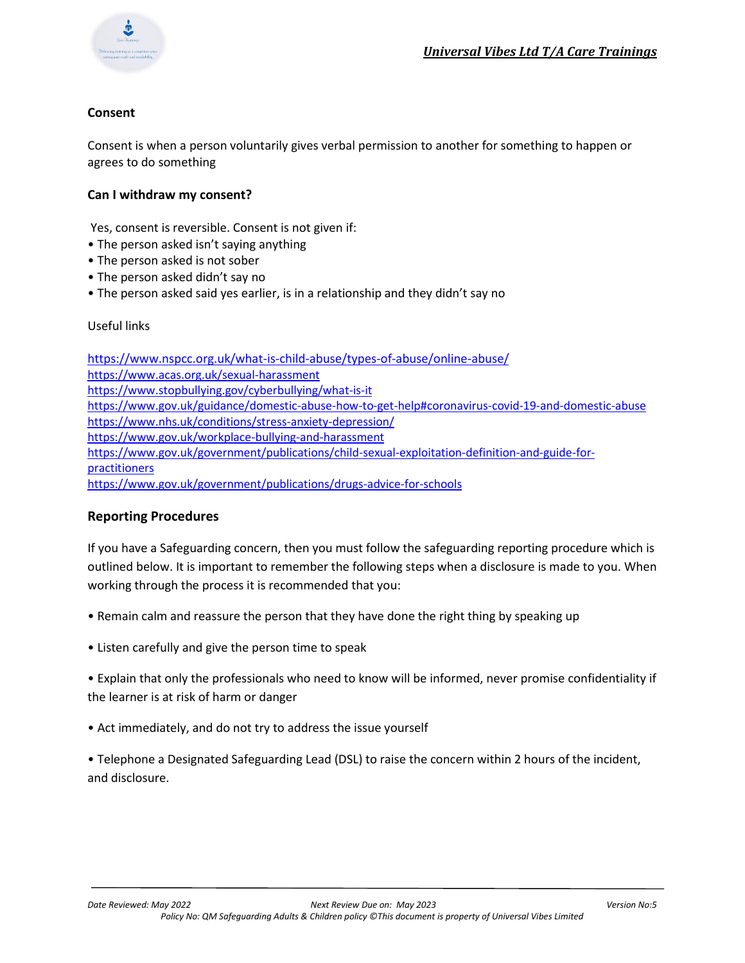

# **Consent**

Consent is when a person voluntarily gives verbal permission to another for something to happen or agrees to do something

# **Can I withdraw my consent?**

Yes, consent is reversible. Consent is not given if:

- The person asked isn't saying anything
- The person asked is not sober
- The person asked didn't say no
- The person asked said yes earlier, is in a relationship and they didn't say no

# Useful links

<https://www.nspcc.org.uk/what-is-child-abuse/types-of-abuse/online-abuse/> <https://www.acas.org.uk/sexual-harassment> <https://www.stopbullying.gov/cyberbullying/what-is-it> <https://www.gov.uk/guidance/domestic-abuse-how-to-get-help#coronavirus-covid-19-and-domestic-abuse> <https://www.nhs.uk/conditions/stress-anxiety-depression/> <https://www.gov.uk/workplace-bullying-and-harassment> [https://www.gov.uk/government/publications/child-sexual-exploitation-definition-and-guide-for](https://www.gov.uk/government/publications/child-sexual-exploitation-definition-and-guide-for-practitioners)[practitioners](https://www.gov.uk/government/publications/child-sexual-exploitation-definition-and-guide-for-practitioners) <https://www.gov.uk/government/publications/drugs-advice-for-schools>

# **Reporting Procedures**

If you have a Safeguarding concern, then you must follow the safeguarding reporting procedure which is outlined below. It is important to remember the following steps when a disclosure is made to you. When working through the process it is recommended that you:

- Remain calm and reassure the person that they have done the right thing by speaking up
- Listen carefully and give the person time to speak

• Explain that only the professionals who need to know will be informed, never promise confidentiality if the learner is at risk of harm or danger

- Act immediately, and do not try to address the issue yourself
- Telephone a Designated Safeguarding Lead (DSL) to raise the concern within 2 hours of the incident, and disclosure.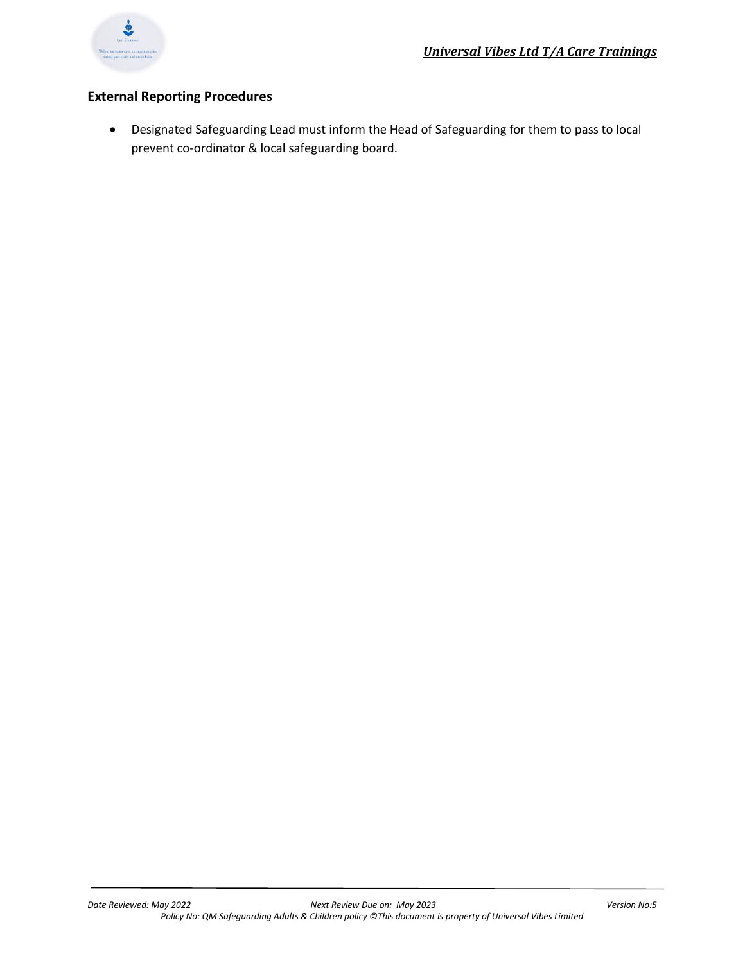

# **External Reporting Procedures**

• Designated Safeguarding Lead must inform the Head of Safeguarding for them to pass to local prevent co-ordinator & local safeguarding board.